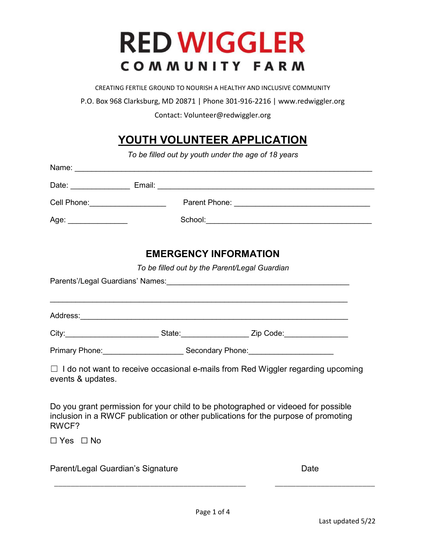# **RED WIGGLER** COMMUNITY FARM

CREATING FERTILE GROUND TO NOURISH A HEALTHY AND INCLUSIVE COMMUNITY

P.O. Box 968 Clarksburg, MD 20871 | Phone 301-916-2216 | www.redwiggler.org

Contact: Volunteer@redwiggler.org

## YOUTH VOLUNTEER APPLICATION

To be filled out by youth under the age of 18 years

|                                   | Date: <u>New York: Email:</u> Email: New York: New York: New York: New York: New York: New York: New York: New York: N                                                  |
|-----------------------------------|-------------------------------------------------------------------------------------------------------------------------------------------------------------------------|
|                                   |                                                                                                                                                                         |
| Age: _______________              |                                                                                                                                                                         |
|                                   | <b>EMERGENCY INFORMATION</b>                                                                                                                                            |
|                                   | To be filled out by the Parent/Legal Guardian                                                                                                                           |
|                                   | Parents'/Legal Guardians' Names: \\connect{\bmg \text{\bmg}}{\bmg \text{\bmg}}{\bmg \text{\bmg}}{\bmg \text{\bmg}}}                                                     |
|                                   |                                                                                                                                                                         |
|                                   | City: ________________________________State: _______________________Zip Code: _____________________                                                                     |
|                                   | Primary Phone: <u>Communication of Secondary Phone:</u>                                                                                                                 |
| events & updates.                 | $\Box$ I do not want to receive occasional e-mails from Red Wiggler regarding upcoming                                                                                  |
| RWCF?                             | Do you grant permission for your child to be photographed or videoed for possible<br>inclusion in a RWCF publication or other publications for the purpose of promoting |
| $\Box$ Yes $\Box$ No              |                                                                                                                                                                         |
| Parent/Legal Guardian's Signature | Date                                                                                                                                                                    |

\_\_\_\_\_\_\_\_\_\_\_\_\_\_\_\_\_\_\_\_\_\_\_\_\_\_\_\_\_\_\_\_\_\_\_\_\_\_\_\_\_\_\_\_\_\_ \_\_\_\_\_\_\_\_\_\_\_\_\_\_\_\_\_\_\_\_\_\_\_\_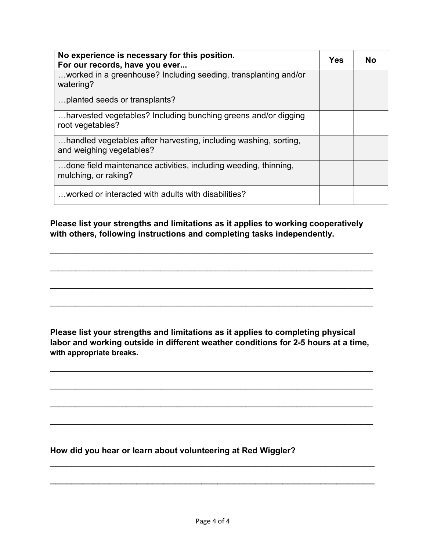| No experience is necessary for this position.<br>For our records, have you ever              |  | Nο |
|----------------------------------------------------------------------------------------------|--|----|
| worked in a greenhouse? Including seeding, transplanting and/or<br>watering?                 |  |    |
| planted seeds or transplants?                                                                |  |    |
| harvested vegetables? Including bunching greens and/or digging<br>root vegetables?           |  |    |
| handled vegetables after harvesting, including washing, sorting,<br>and weighing vegetables? |  |    |
| done field maintenance activities, including weeding, thinning,<br>mulching, or raking?      |  |    |
| worked or interacted with adults with disabilities?                                          |  |    |

Please list your strengths and limitations as it applies to working cooperatively with others, following instructions and completing tasks independently.

 $\mathcal{L}_\text{max}$  and  $\mathcal{L}_\text{max}$  and  $\mathcal{L}_\text{max}$  and  $\mathcal{L}_\text{max}$  and  $\mathcal{L}_\text{max}$  and  $\mathcal{L}_\text{max}$ 

 $\mathcal{L}_\text{max}$  and  $\mathcal{L}_\text{max}$  and  $\mathcal{L}_\text{max}$  and  $\mathcal{L}_\text{max}$  and  $\mathcal{L}_\text{max}$  and  $\mathcal{L}_\text{max}$ 

 $\mathcal{L}_\text{max}$  and  $\mathcal{L}_\text{max}$  and  $\mathcal{L}_\text{max}$  and  $\mathcal{L}_\text{max}$  and  $\mathcal{L}_\text{max}$  and  $\mathcal{L}_\text{max}$ 

 $\mathcal{L}_\text{max}$  and  $\mathcal{L}_\text{max}$  and  $\mathcal{L}_\text{max}$  and  $\mathcal{L}_\text{max}$  and  $\mathcal{L}_\text{max}$  and  $\mathcal{L}_\text{max}$ 

Please list your strengths and limitations as it applies to completing physical labor and working outside in different weather conditions for 2-5 hours at a time, with appropriate breaks.

 $\mathcal{L}_\text{max}$  and  $\mathcal{L}_\text{max}$  and  $\mathcal{L}_\text{max}$  and  $\mathcal{L}_\text{max}$  and  $\mathcal{L}_\text{max}$  and  $\mathcal{L}_\text{max}$ 

 $\mathcal{L}_\text{max}$  and  $\mathcal{L}_\text{max}$  and  $\mathcal{L}_\text{max}$  and  $\mathcal{L}_\text{max}$  and  $\mathcal{L}_\text{max}$  and  $\mathcal{L}_\text{max}$ 

 $\mathcal{L}_\text{max}$  and  $\mathcal{L}_\text{max}$  and  $\mathcal{L}_\text{max}$  and  $\mathcal{L}_\text{max}$  and  $\mathcal{L}_\text{max}$  and  $\mathcal{L}_\text{max}$ 

 $\mathcal{L}_\text{max}$  , and the contract of the contract of the contract of the contract of the contract of the contract of the contract of the contract of the contract of the contract of the contract of the contract of the contr

 $\mathcal{L}_\text{max}$  , and the contract of the contract of the contract of the contract of the contract of the contract of the contract of the contract of the contract of the contract of the contract of the contract of the contr

How did you hear or learn about volunteering at Red Wiggler?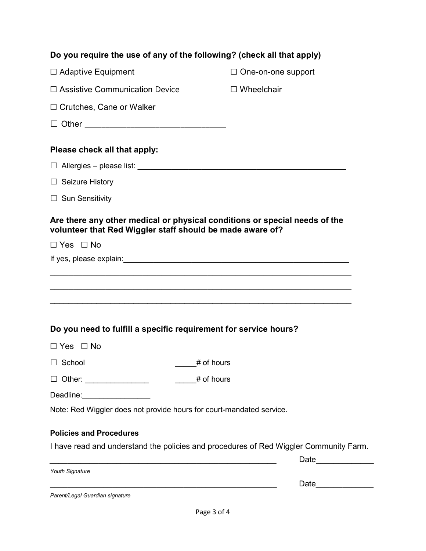| Do you require the use of any of the following? (check all that apply)                                                                  |                           |  |  |  |
|-----------------------------------------------------------------------------------------------------------------------------------------|---------------------------|--|--|--|
| $\Box$ Adaptive Equipment                                                                                                               | $\Box$ One-on-one support |  |  |  |
| $\Box$ Assistive Communication Device                                                                                                   | $\Box$ Wheelchair         |  |  |  |
| $\Box$ Crutches, Cane or Walker                                                                                                         |                           |  |  |  |
|                                                                                                                                         |                           |  |  |  |
| Please check all that apply:                                                                                                            |                           |  |  |  |
|                                                                                                                                         |                           |  |  |  |
| $\Box$ Seizure History                                                                                                                  |                           |  |  |  |
| $\Box$ Sun Sensitivity                                                                                                                  |                           |  |  |  |
| Are there any other medical or physical conditions or special needs of the<br>volunteer that Red Wiggler staff should be made aware of? |                           |  |  |  |
| $\Box$ Yes $\Box$ No                                                                                                                    |                           |  |  |  |
|                                                                                                                                         |                           |  |  |  |
| $\Box$ Yes $\Box$ No                                                                                                                    |                           |  |  |  |
| # of hours<br>School                                                                                                                    |                           |  |  |  |
| # of hours<br>□ Other: _______________                                                                                                  |                           |  |  |  |
| Deadline: <u>__________________</u>                                                                                                     |                           |  |  |  |
| Note: Red Wiggler does not provide hours for court-mandated service.                                                                    |                           |  |  |  |
| <b>Policies and Procedures</b>                                                                                                          |                           |  |  |  |
| I have read and understand the policies and procedures of Red Wiggler Community Farm.                                                   |                           |  |  |  |
|                                                                                                                                         | Date ______________       |  |  |  |
| Youth Signature                                                                                                                         | Date                      |  |  |  |
| Parent/Legal Guardian signature                                                                                                         |                           |  |  |  |